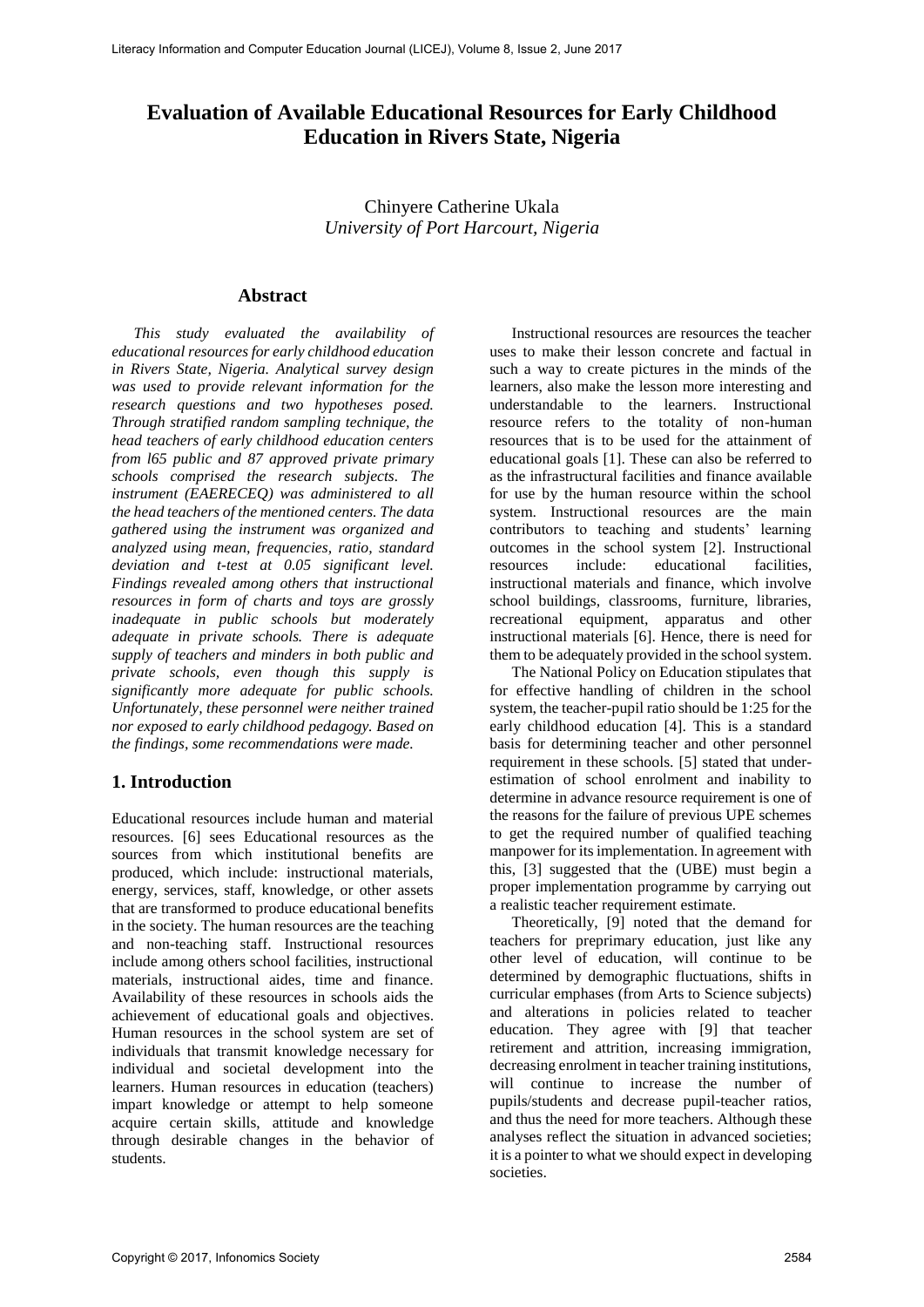# **Evaluation of Available Educational Resources for Early Childhood Education in Rivers State, Nigeria**

Chinyere Catherine Ukala *University of Port Harcourt, Nigeria*

#### **Abstract**

*This study evaluated the availability of educational resources for early childhood education in Rivers State, Nigeria. Analytical survey design was used to provide relevant information for the research questions and two hypotheses posed. Through stratified random sampling technique, the head teachers of early childhood education centers from l65 public and 87 approved private primary schools comprised the research subjects. The instrument (EAERECEQ) was administered to all the head teachers of the mentioned centers. The data gathered using the instrument was organized and analyzed using mean, frequencies, ratio, standard deviation and t-test at 0.05 significant level. Findings revealed among others that instructional resources in form of charts and toys are grossly inadequate in public schools but moderately adequate in private schools. There is adequate supply of teachers and minders in both public and private schools, even though this supply is significantly more adequate for public schools. Unfortunately, these personnel were neither trained nor exposed to early childhood pedagogy. Based on the findings, some recommendations were made.*

### **1. Introduction**

Educational resources include human and material resources. [6] sees Educational resources as the sources from which institutional benefits are produced, which include: instructional materials, energy, services, staff, knowledge, or other assets that are transformed to produce educational benefits in the society. The human resources are the teaching and non-teaching staff. Instructional resources include among others school facilities, instructional materials, instructional aides, time and finance. Availability of these resources in schools aids the achievement of educational goals and objectives. Human resources in the school system are set of individuals that transmit knowledge necessary for individual and societal development into the learners. Human resources in education (teachers) impart knowledge or attempt to help someone acquire certain skills, attitude and knowledge through desirable changes in the behavior of students.

Instructional resources are resources the teacher uses to make their lesson concrete and factual in such a way to create pictures in the minds of the learners, also make the lesson more interesting and understandable to the learners. Instructional resource refers to the totality of non-human resources that is to be used for the attainment of educational goals [1]. These can also be referred to as the infrastructural facilities and finance available for use by the human resource within the school system. Instructional resources are the main contributors to teaching and students' learning outcomes in the school system [2]. Instructional resources include: educational facilities, instructional materials and finance, which involve school buildings, classrooms, furniture, libraries, recreational equipment, apparatus and other instructional materials [6]. Hence, there is need for them to be adequately provided in the school system.

The National Policy on Education stipulates that for effective handling of children in the school system, the teacher-pupil ratio should be 1:25 for the early childhood education [4]. This is a standard basis for determining teacher and other personnel requirement in these schools. [5] stated that underestimation of school enrolment and inability to determine in advance resource requirement is one of the reasons for the failure of previous UPE schemes to get the required number of qualified teaching manpower for its implementation. In agreement with this, [3] suggested that the (UBE) must begin a proper implementation programme by carrying out a realistic teacher requirement estimate.

Theoretically, [9] noted that the demand for teachers for preprimary education, just like any other level of education, will continue to be determined by demographic fluctuations, shifts in curricular emphases (from Arts to Science subjects) and alterations in policies related to teacher education. They agree with [9] that teacher retirement and attrition, increasing immigration, decreasing enrolment in teacher training institutions, will continue to increase the number of pupils/students and decrease pupil-teacher ratios, and thus the need for more teachers. Although these analyses reflect the situation in advanced societies; it is a pointer to what we should expect in developing societies.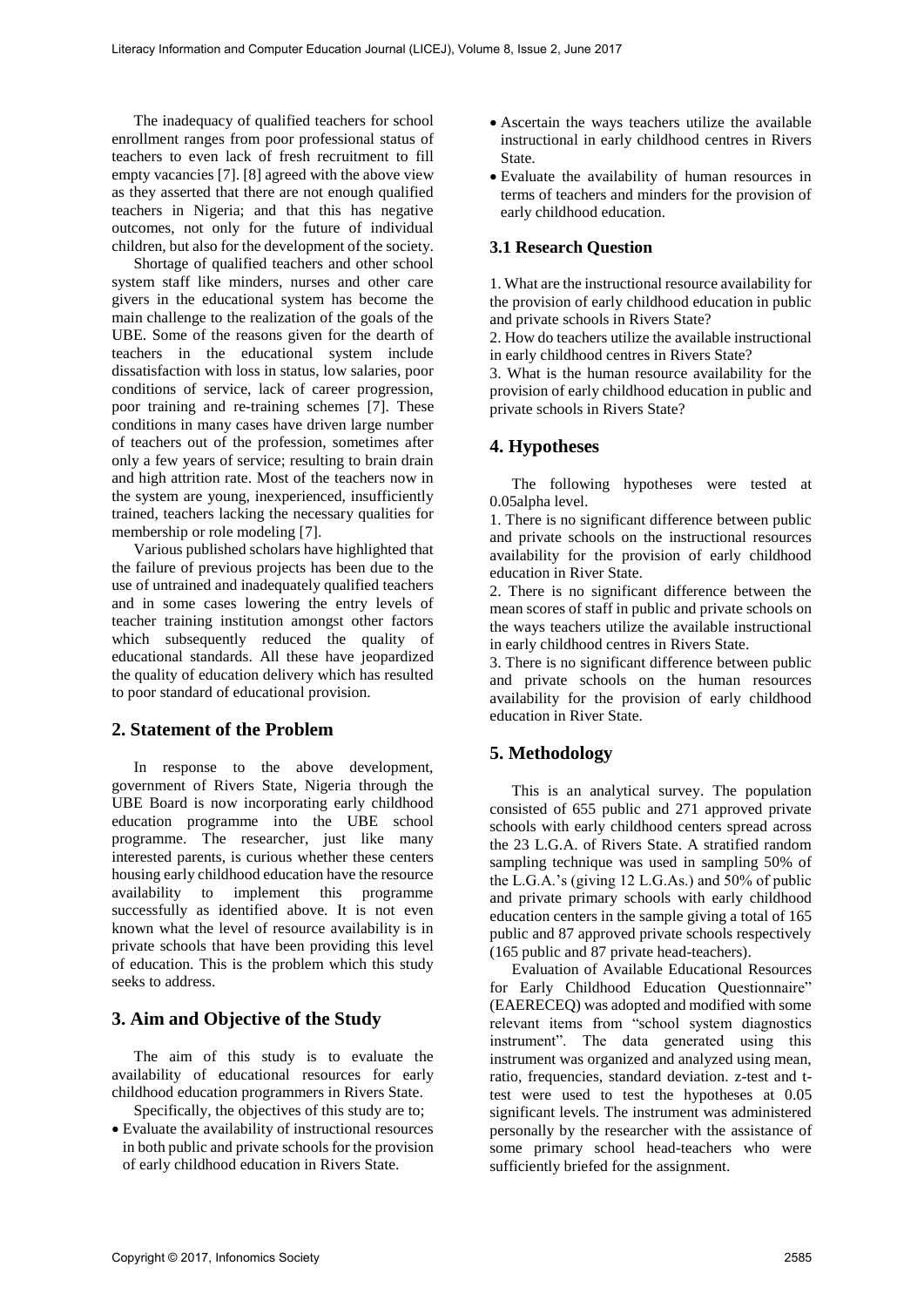The inadequacy of qualified teachers for school enrollment ranges from poor professional status of teachers to even lack of fresh recruitment to fill empty vacancies [7]. [8] agreed with the above view as they asserted that there are not enough qualified teachers in Nigeria; and that this has negative outcomes, not only for the future of individual children, but also for the development of the society.

Shortage of qualified teachers and other school system staff like minders, nurses and other care givers in the educational system has become the main challenge to the realization of the goals of the UBE. Some of the reasons given for the dearth of teachers in the educational system include dissatisfaction with loss in status, low salaries, poor conditions of service, lack of career progression, poor training and re-training schemes [7]. These conditions in many cases have driven large number of teachers out of the profession, sometimes after only a few years of service; resulting to brain drain and high attrition rate. Most of the teachers now in the system are young, inexperienced, insufficiently trained, teachers lacking the necessary qualities for membership or role modeling [7].

Various published scholars have highlighted that the failure of previous projects has been due to the use of untrained and inadequately qualified teachers and in some cases lowering the entry levels of teacher training institution amongst other factors which subsequently reduced the quality of educational standards. All these have jeopardized the quality of education delivery which has resulted to poor standard of educational provision.

### **2. Statement of the Problem**

In response to the above development, government of Rivers State, Nigeria through the UBE Board is now incorporating early childhood education programme into the UBE school programme. The researcher, just like many interested parents, is curious whether these centers housing early childhood education have the resource availability to implement this programme successfully as identified above. It is not even known what the level of resource availability is in private schools that have been providing this level of education. This is the problem which this study seeks to address.

## **3. Aim and Objective of the Study**

The aim of this study is to evaluate the availability of educational resources for early childhood education programmers in Rivers State. Specifically, the objectives of this study are to;

• Evaluate the availability of instructional resources in both public and private schools for the provision of early childhood education in Rivers State.

- Ascertain the ways teachers utilize the available instructional in early childhood centres in Rivers State.
- Evaluate the availability of human resources in terms of teachers and minders for the provision of early childhood education.

### **3.1 Research Question**

1. What are the instructional resource availability for the provision of early childhood education in public and private schools in Rivers State?

2. How do teachers utilize the available instructional in early childhood centres in Rivers State?

3. What is the human resource availability for the provision of early childhood education in public and private schools in Rivers State?

## **4. Hypotheses**

The following hypotheses were tested at 0.05alpha level.

1. There is no significant difference between public and private schools on the instructional resources availability for the provision of early childhood education in River State.

2. There is no significant difference between the mean scores of staff in public and private schools on the ways teachers utilize the available instructional in early childhood centres in Rivers State.

3. There is no significant difference between public and private schools on the human resources availability for the provision of early childhood education in River State.

# **5. Methodology**

This is an analytical survey. The population consisted of 655 public and 271 approved private schools with early childhood centers spread across the 23 L.G.A. of Rivers State. A stratified random sampling technique was used in sampling 50% of the L.G.A.'s (giving 12 L.G.As.) and 50% of public and private primary schools with early childhood education centers in the sample giving a total of 165 public and 87 approved private schools respectively (165 public and 87 private head-teachers).

Evaluation of Available Educational Resources for Early Childhood Education Questionnaire" (EAERECEQ) was adopted and modified with some relevant items from "school system diagnostics instrument". The data generated using this instrument was organized and analyzed using mean, ratio, frequencies, standard deviation. z-test and ttest were used to test the hypotheses at 0.05 significant levels. The instrument was administered personally by the researcher with the assistance of some primary school head-teachers who were sufficiently briefed for the assignment.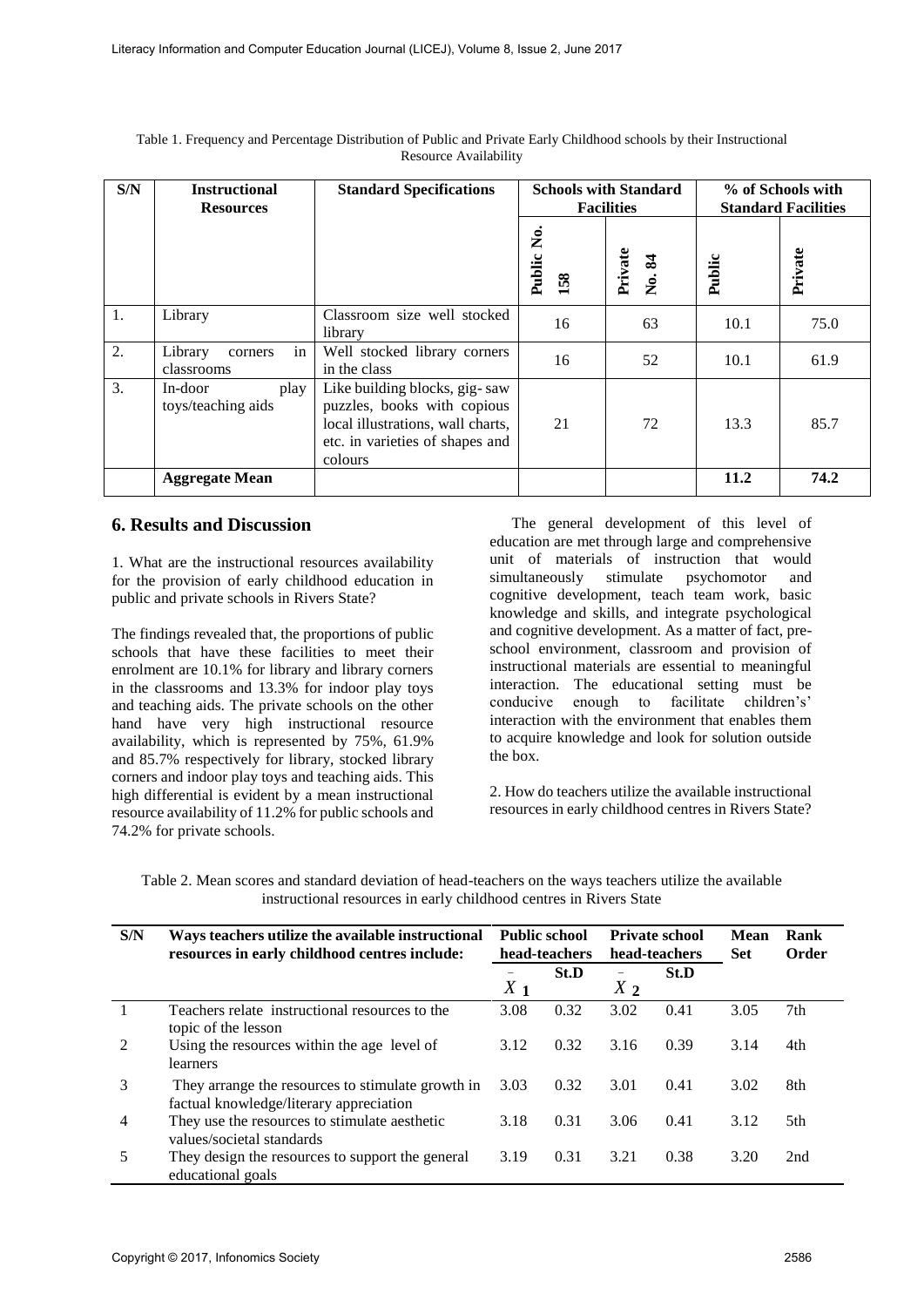| S/N | <b>Instructional</b><br><b>Resources</b> | <b>Standard Specifications</b>                                                                                                                  |                   | <b>Schools with Standard</b><br><b>Facilities</b> | % of Schools with<br><b>Standard Facilities</b> |         |
|-----|------------------------------------------|-------------------------------------------------------------------------------------------------------------------------------------------------|-------------------|---------------------------------------------------|-------------------------------------------------|---------|
|     |                                          |                                                                                                                                                 | Public No.<br>158 | Private<br>No. 84                                 | Public                                          | Private |
| 1.  | Library                                  | Classroom size well stocked<br>library                                                                                                          | 16                | 63                                                | 10.1                                            | 75.0    |
| 2.  | in<br>Library<br>corners<br>classrooms   | Well stocked library corners<br>in the class                                                                                                    | 16                | 52                                                | 10.1                                            | 61.9    |
| 3.  | In-door<br>play<br>toys/teaching aids    | Like building blocks, gig-saw<br>puzzles, books with copious<br>local illustrations, wall charts,<br>etc. in varieties of shapes and<br>colours | 21                | 72                                                | 13.3                                            | 85.7    |
|     | <b>Aggregate Mean</b>                    |                                                                                                                                                 |                   |                                                   | 11.2                                            | 74.2    |

Table 1. Frequency and Percentage Distribution of Public and Private Early Childhood schools by their Instructional Resource Availability

### **6. Results and Discussion**

1. What are the instructional resources availability for the provision of early childhood education in public and private schools in Rivers State?

The findings revealed that, the proportions of public schools that have these facilities to meet their enrolment are 10.1% for library and library corners in the classrooms and 13.3% for indoor play toys and teaching aids. The private schools on the other hand have very high instructional resource availability, which is represented by 75%, 61.9% and 85.7% respectively for library, stocked library corners and indoor play toys and teaching aids. This high differential is evident by a mean instructional resource availability of 11.2% for public schools and 74.2% for private schools.

The general development of this level of education are met through large and comprehensive unit of materials of instruction that would simultaneously stimulate psychomotor and cognitive development, teach team work, basic knowledge and skills, and integrate psychological and cognitive development. As a matter of fact, preschool environment, classroom and provision of instructional materials are essential to meaningful interaction. The educational setting must be conducive enough to facilitate children's' interaction with the environment that enables them to acquire knowledge and look for solution outside the box.

2. How do teachers utilize the available instructional resources in early childhood centres in Rivers State?

Table 2. Mean scores and standard deviation of head-teachers on the ways teachers utilize the available instructional resources in early childhood centres in Rivers State

| S/N            | Ways teachers utilize the available instructional<br>resources in early childhood centres include: | <b>Public school</b><br>head-teachers |      |       | <b>Private school</b><br>head-teachers | Mean<br><b>Set</b> | Rank<br>Order |
|----------------|----------------------------------------------------------------------------------------------------|---------------------------------------|------|-------|----------------------------------------|--------------------|---------------|
|                |                                                                                                    | $X_1$                                 | St.D | $X_2$ | St.D                                   |                    |               |
|                | Teachers relate instructional resources to the<br>topic of the lesson                              | 3.08                                  | 0.32 | 3.02  | 0.41                                   | 3.05               | 7th           |
| $\overline{2}$ | Using the resources within the age level of<br>learners                                            | 3.12                                  | 0.32 | 3.16  | 0.39                                   | 3.14               | 4th           |
| 3              | They arrange the resources to stimulate growth in<br>factual knowledge/literary appreciation       | 3.03                                  | 0.32 | 3.01  | 0.41                                   | 3.02               | 8th           |
| 4              | They use the resources to stimulate aesthetic<br>values/societal standards                         | 3.18                                  | 0.31 | 3.06  | 0.41                                   | 3.12               | 5th           |
| 5              | They design the resources to support the general<br>educational goals                              | 3.19                                  | 0.31 | 3.21  | 0.38                                   | 3.20               | 2nd           |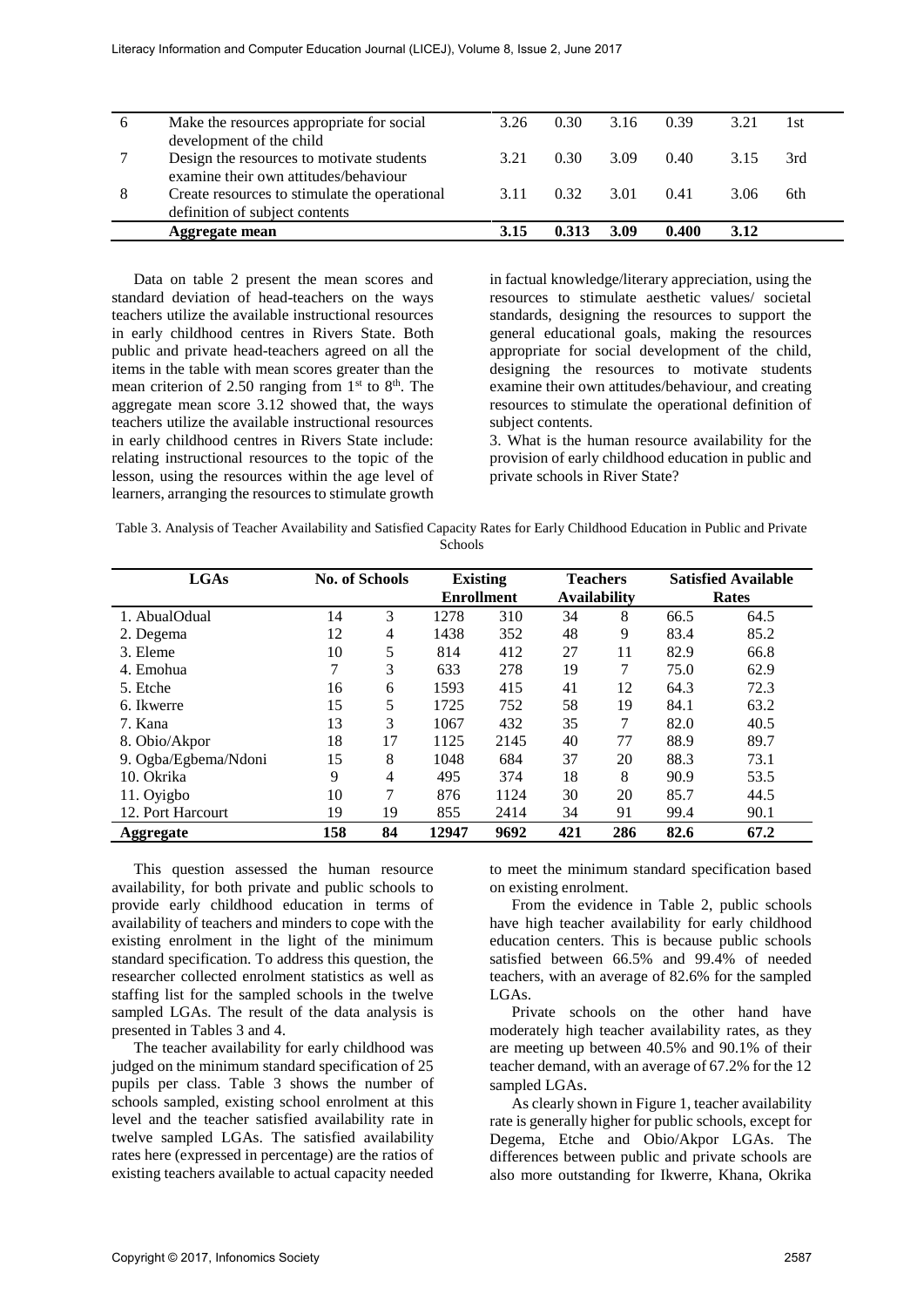|   |                                                                       | 3.26 | 0.30 | 3.16 | 0.39  | 3.21 | 1st |
|---|-----------------------------------------------------------------------|------|------|------|-------|------|-----|
| 6 | Make the resources appropriate for social<br>development of the child |      |      |      |       |      |     |
|   | Design the resources to motivate students                             | 3.21 | 0.30 | 3.09 | 0.40  | 315  | 3rd |
|   | examine their own attitudes/behaviour                                 |      |      |      |       |      |     |
| 8 | Create resources to stimulate the operational                         | 311  | 0.32 | 3.01 | 0.41  | 3.06 | 6th |
|   | definition of subject contents                                        |      |      |      |       |      |     |
|   | Aggregate mean                                                        | 3.15 |      | 3.09 | 0.400 | 3.12 |     |

Data on table 2 present the mean scores and standard deviation of head-teachers on the ways teachers utilize the available instructional resources in early childhood centres in Rivers State. Both public and private head-teachers agreed on all the items in the table with mean scores greater than the mean criterion of 2.50 ranging from  $1<sup>st</sup>$  to  $8<sup>th</sup>$ . The aggregate mean score 3.12 showed that, the ways teachers utilize the available instructional resources in early childhood centres in Rivers State include: relating instructional resources to the topic of the lesson, using the resources within the age level of learners, arranging the resources to stimulate growth in factual knowledge/literary appreciation, using the resources to stimulate aesthetic values/ societal standards, designing the resources to support the general educational goals, making the resources appropriate for social development of the child, designing the resources to motivate students examine their own attitudes/behaviour, and creating resources to stimulate the operational definition of subject contents.

3. What is the human resource availability for the provision of early childhood education in public and private schools in River State?

| Table 3. Analysis of Teacher Availability and Satisfied Capacity Rates for Early Childhood Education in Public and Private |
|----------------------------------------------------------------------------------------------------------------------------|
| <b>Schools</b>                                                                                                             |

| <b>LGAs</b>          | <b>No. of Schools</b> |    |                   | <b>Existing</b> |                     | <b>Teachers</b> |      | <b>Satisfied Available</b> |
|----------------------|-----------------------|----|-------------------|-----------------|---------------------|-----------------|------|----------------------------|
|                      |                       |    | <b>Enrollment</b> |                 | <b>Availability</b> |                 |      | Rates                      |
| 1. AbualOdual        | 14                    | 3  | 1278              | 310             | 34                  | 8               | 66.5 | 64.5                       |
| 2. Degema            | 12                    | 4  | 1438              | 352             | 48                  | 9               | 83.4 | 85.2                       |
| 3. Eleme             | 10                    | 5  | 814               | 412             | 27                  | 11              | 82.9 | 66.8                       |
| 4. Emohua            | 7                     | 3  | 633               | 278             | 19                  | 7               | 75.0 | 62.9                       |
| 5. Etche             | 16                    | 6  | 1593              | 415             | 41                  | 12              | 64.3 | 72.3                       |
| 6. Ikwerre           | 15                    | 5  | 1725              | 752             | 58                  | 19              | 84.1 | 63.2                       |
| 7. Kana              | 13                    | 3  | 1067              | 432             | 35                  | 7               | 82.0 | 40.5                       |
| 8. Obio/Akpor        | 18                    | 17 | 1125              | 2145            | 40                  | 77              | 88.9 | 89.7                       |
| 9. Ogba/Egbema/Ndoni | 15                    | 8  | 1048              | 684             | 37                  | 20              | 88.3 | 73.1                       |
| 10. Okrika           | 9                     | 4  | 495               | 374             | 18                  | 8               | 90.9 | 53.5                       |
| 11. Oyigbo           | 10                    | 7  | 876               | 1124            | 30                  | 20              | 85.7 | 44.5                       |
| 12. Port Harcourt    | 19                    | 19 | 855               | 2414            | 34                  | 91              | 99.4 | 90.1                       |
| <b>Aggregate</b>     | 158                   | 84 | 12947             | 9692            | 421                 | 286             | 82.6 | 67.2                       |

This question assessed the human resource availability, for both private and public schools to provide early childhood education in terms of availability of teachers and minders to cope with the existing enrolment in the light of the minimum standard specification. To address this question, the researcher collected enrolment statistics as well as staffing list for the sampled schools in the twelve sampled LGAs. The result of the data analysis is presented in Tables 3 and 4.

The teacher availability for early childhood was judged on the minimum standard specification of 25 pupils per class. Table 3 shows the number of schools sampled, existing school enrolment at this level and the teacher satisfied availability rate in twelve sampled LGAs. The satisfied availability rates here (expressed in percentage) are the ratios of existing teachers available to actual capacity needed

to meet the minimum standard specification based on existing enrolment.

From the evidence in Table 2, public schools have high teacher availability for early childhood education centers. This is because public schools satisfied between 66.5% and 99.4% of needed teachers, with an average of 82.6% for the sampled LGAs.

Private schools on the other hand have moderately high teacher availability rates, as they are meeting up between 40.5% and 90.1% of their teacher demand, with an average of 67.2% for the 12 sampled LGAs.

As clearly shown in Figure 1, teacher availability rate is generally higher for public schools, except for Degema, Etche and Obio/Akpor LGAs. The differences between public and private schools are also more outstanding for Ikwerre, Khana, Okrika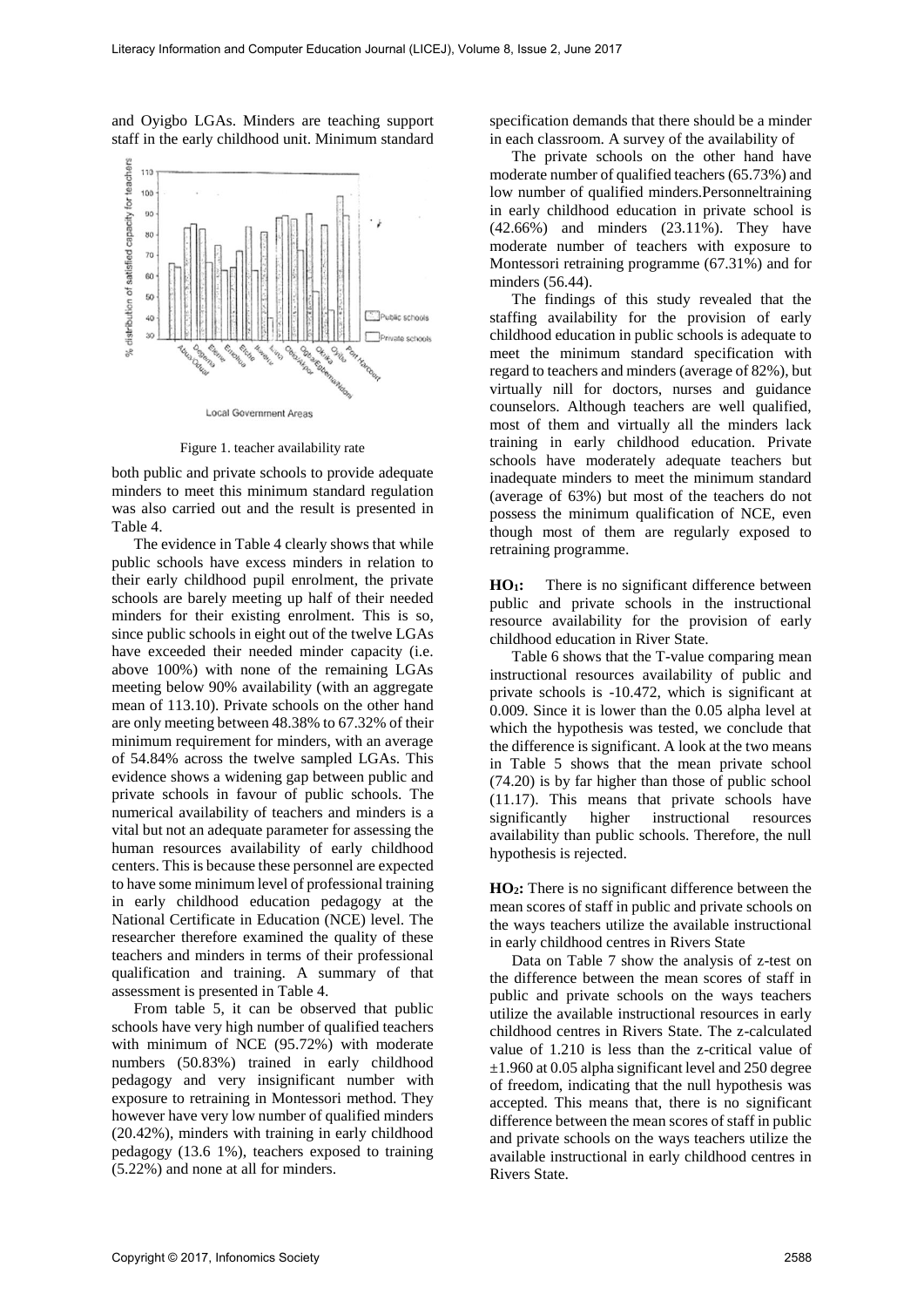and Oyigbo LGAs. Minders are teaching support staff in the early childhood unit. Minimum standard



Figure 1. teacher availability rate

both public and private schools to provide adequate minders to meet this minimum standard regulation was also carried out and the result is presented in Table 4.

The evidence in Table 4 clearly shows that while public schools have excess minders in relation to their early childhood pupil enrolment, the private schools are barely meeting up half of their needed minders for their existing enrolment. This is so, since public schools in eight out of the twelve LGAs have exceeded their needed minder capacity (i.e. above 100%) with none of the remaining LGAs meeting below 90% availability (with an aggregate mean of 113.10). Private schools on the other hand are only meeting between 48.38% to 67.32% of their minimum requirement for minders, with an average of 54.84% across the twelve sampled LGAs. This evidence shows a widening gap between public and private schools in favour of public schools. The numerical availability of teachers and minders is a vital but not an adequate parameter for assessing the human resources availability of early childhood centers. This is because these personnel are expected to have some minimum level of professional training in early childhood education pedagogy at the National Certificate in Education (NCE) level. The researcher therefore examined the quality of these teachers and minders in terms of their professional qualification and training. A summary of that assessment is presented in Table 4.

From table 5, it can be observed that public schools have very high number of qualified teachers with minimum of NCE (95.72%) with moderate numbers (50.83%) trained in early childhood pedagogy and very insignificant number with exposure to retraining in Montessori method. They however have very low number of qualified minders (20.42%), minders with training in early childhood pedagogy (13.6 1%), teachers exposed to training (5.22%) and none at all for minders.

specification demands that there should be a minder in each classroom. A survey of the availability of

The private schools on the other hand have moderate number of qualified teachers (65.73%) and low number of qualified minders.Personneltraining in early childhood education in private school is (42.66%) and minders (23.11%). They have moderate number of teachers with exposure to Montessori retraining programme (67.31%) and for minders (56.44).

The findings of this study revealed that the staffing availability for the provision of early childhood education in public schools is adequate to meet the minimum standard specification with regard to teachers and minders (average of 82%), but virtually nill for doctors, nurses and guidance counselors. Although teachers are well qualified, most of them and virtually all the minders lack training in early childhood education. Private schools have moderately adequate teachers but inadequate minders to meet the minimum standard (average of 63%) but most of the teachers do not possess the minimum qualification of NCE, even though most of them are regularly exposed to retraining programme.

**HO1:** There is no significant difference between public and private schools in the instructional resource availability for the provision of early childhood education in River State.

Table 6 shows that the T-value comparing mean instructional resources availability of public and private schools is -10.472, which is significant at 0.009. Since it is lower than the 0.05 alpha level at which the hypothesis was tested, we conclude that the difference is significant. A look at the two means in Table 5 shows that the mean private school (74.20) is by far higher than those of public school (11.17). This means that private schools have significantly higher instructional resources availability than public schools. Therefore, the null hypothesis is rejected.

**HO2:** There is no significant difference between the mean scores of staff in public and private schools on the ways teachers utilize the available instructional in early childhood centres in Rivers State

Data on Table 7 show the analysis of z-test on the difference between the mean scores of staff in public and private schools on the ways teachers utilize the available instructional resources in early childhood centres in Rivers State. The z-calculated value of 1.210 is less than the z-critical value of  $\pm$ 1.960 at 0.05 alpha significant level and 250 degree of freedom, indicating that the null hypothesis was accepted. This means that, there is no significant difference between the mean scores of staff in public and private schools on the ways teachers utilize the available instructional in early childhood centres in Rivers State.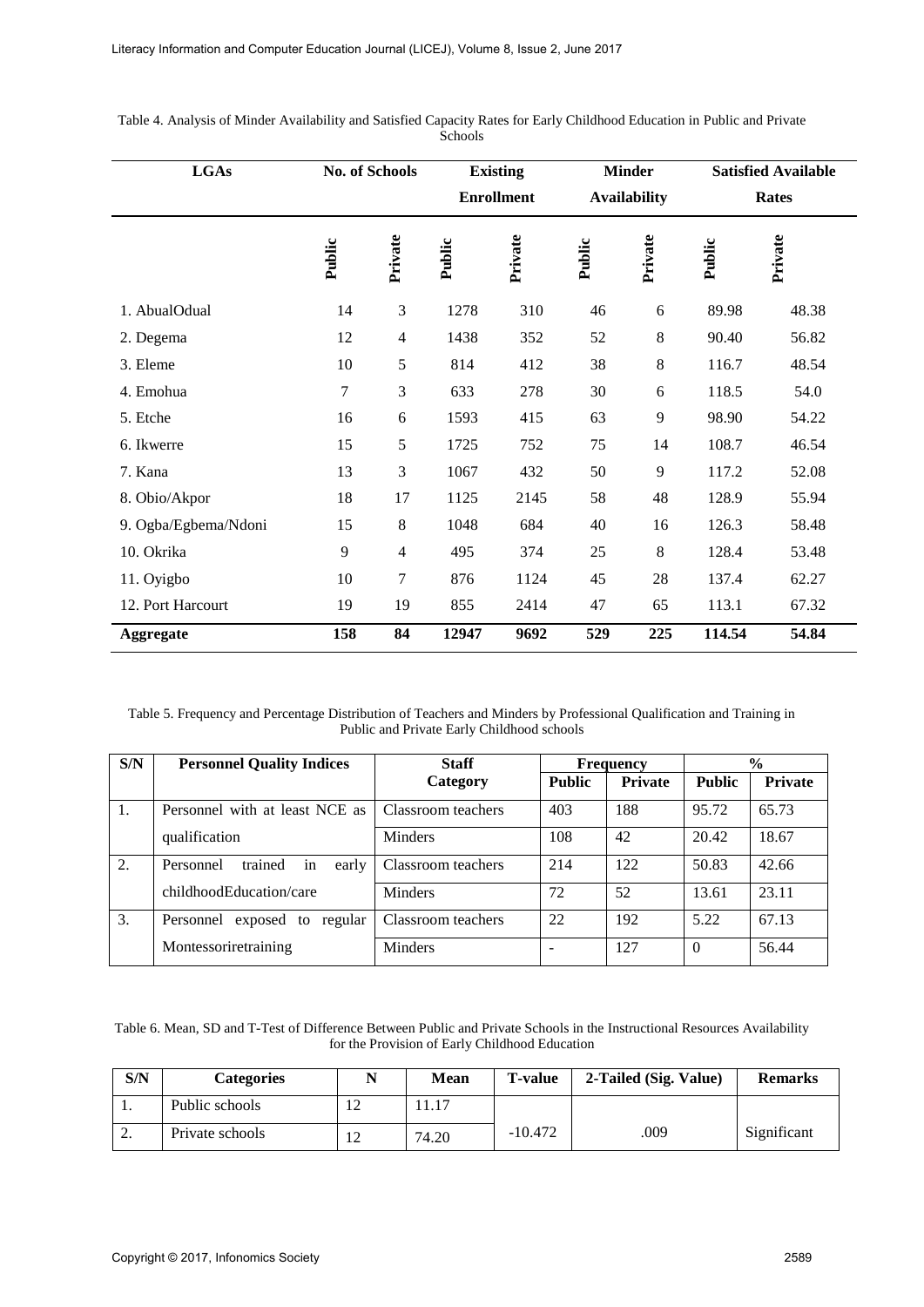| <b>LGAs</b>          | No. of Schools |                |                   | <b>Existing</b> | <b>Minder</b>       |         | <b>Satisfied Available</b> |              |
|----------------------|----------------|----------------|-------------------|-----------------|---------------------|---------|----------------------------|--------------|
|                      |                |                | <b>Enrollment</b> |                 | <b>Availability</b> |         |                            | <b>Rates</b> |
|                      | Public         | Private        | Public            | Private         | Public              | Private | Public                     | Private      |
| 1. AbualOdual        | 14             | 3              | 1278              | 310             | 46                  | 6       | 89.98                      | 48.38        |
| 2. Degema            | 12             | $\overline{4}$ | 1438              | 352             | 52                  | $\,8\,$ | 90.40                      | 56.82        |
| 3. Eleme             | 10             | 5              | 814               | 412             | 38                  | $\,8\,$ | 116.7                      | 48.54        |
| 4. Emohua            | $\tau$         | 3              | 633               | 278             | 30                  | 6       | 118.5                      | 54.0         |
| 5. Etche             | 16             | 6              | 1593              | 415             | 63                  | 9       | 98.90                      | 54.22        |
| 6. Ikwerre           | 15             | 5              | 1725              | 752             | 75                  | 14      | 108.7                      | 46.54        |
| 7. Kana              | 13             | 3              | 1067              | 432             | 50                  | 9       | 117.2                      | 52.08        |
| 8. Obio/Akpor        | 18             | 17             | 1125              | 2145            | 58                  | 48      | 128.9                      | 55.94        |
| 9. Ogba/Egbema/Ndoni | 15             | $\,8\,$        | 1048              | 684             | 40                  | 16      | 126.3                      | 58.48        |
| 10. Okrika           | 9              | $\overline{4}$ | 495               | 374             | 25                  | 8       | 128.4                      | 53.48        |
| 11. Oyigbo           | 10             | 7              | 876               | 1124            | 45                  | 28      | 137.4                      | 62.27        |
| 12. Port Harcourt    | 19             | 19             | 855               | 2414            | 47                  | 65      | 113.1                      | 67.32        |
| <b>Aggregate</b>     | 158            | 84             | 12947             | 9692            | 529                 | 225     | 114.54                     | 54.84        |

Table 4. Analysis of Minder Availability and Satisfied Capacity Rates for Early Childhood Education in Public and Private **Schools** 

Table 5. Frequency and Percentage Distribution of Teachers and Minders by Professional Qualification and Training in Public and Private Early Childhood schools

| S/N | <b>Personnel Quality Indices</b>      | <b>Staff</b>       |               | <b>Frequency</b> | $\frac{6}{9}$ |                |
|-----|---------------------------------------|--------------------|---------------|------------------|---------------|----------------|
|     |                                       | Category           | <b>Public</b> | <b>Private</b>   | <b>Public</b> | <b>Private</b> |
| 1.  | Personnel with at least NCE as        | Classroom teachers | 403           | 188              | 95.72         | 65.73          |
|     | qualification                         | <b>Minders</b>     | 108           | 42               | 20.42         | 18.67          |
| 2.  | Personnel<br>trained<br>early<br>1n   | Classroom teachers | 214           | 122              | 50.83         | 42.66          |
|     | childhoodEducation/care               | <b>Minders</b>     | 72            | 52               | 13.61         | 23.11          |
| 3.  | Personnel<br>regular<br>exposed<br>to | Classroom teachers | 22            | 192              | 5.22          | 67.13          |
|     | Montessoriretraining                  | <b>Minders</b>     |               | 127              | 0             | 56.44          |

Table 6. Mean, SD and T-Test of Difference Between Public and Private Schools in the Instructional Resources Availability for the Provision of Early Childhood Education

| S/N | <b>Categories</b> |          | Mean  | <b>T-value</b> | 2-Tailed (Sig. Value) | <b>Remarks</b> |
|-----|-------------------|----------|-------|----------------|-----------------------|----------------|
| . . | Public schools    | <u>_</u> | 11.17 |                |                       |                |
| ٠.  | Private schools   | ി<br>⊥ ∠ | 74.20 | $-10.472$      | .009                  | Significant    |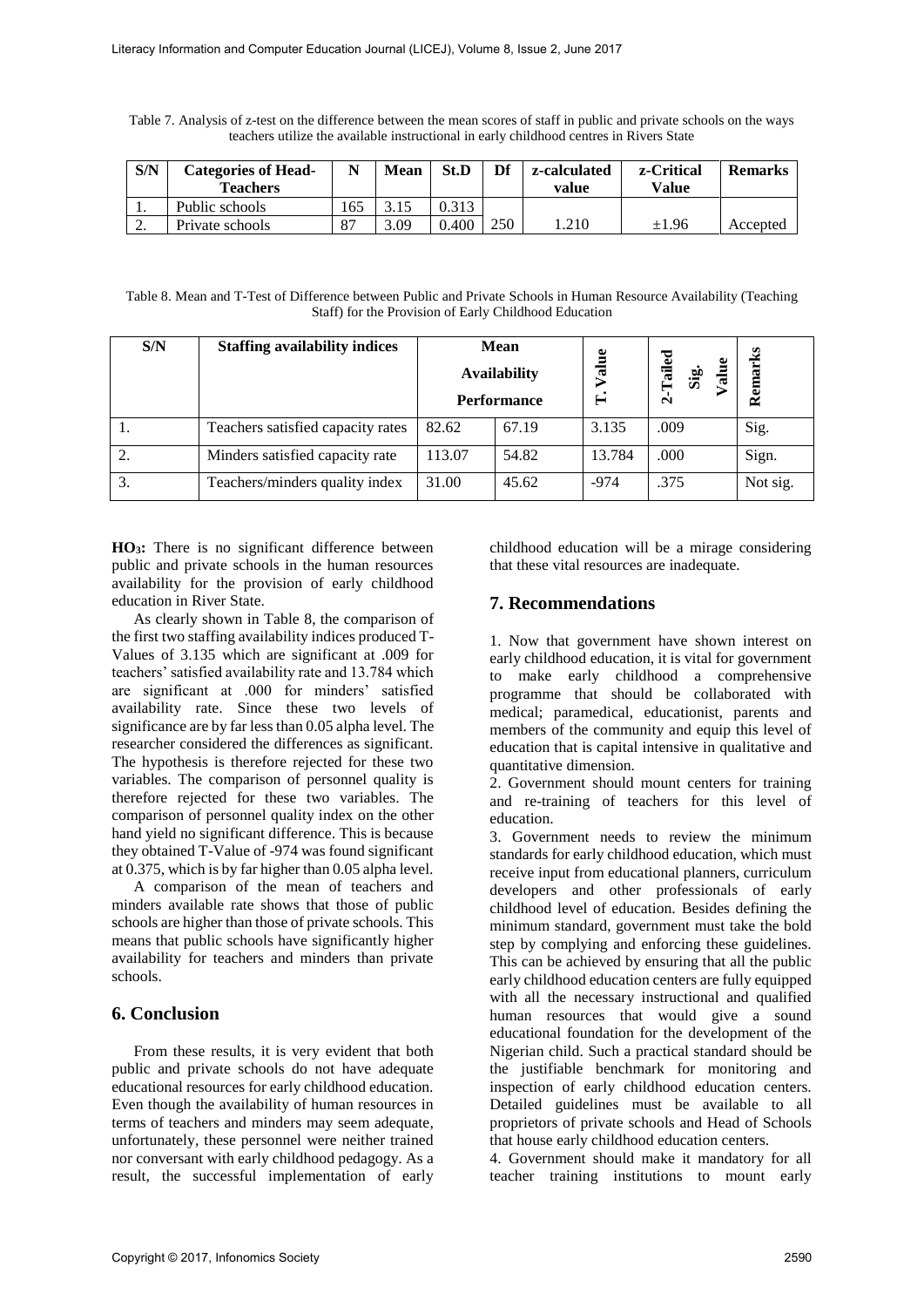Table 7. Analysis of z-test on the difference between the mean scores of staff in public and private schools on the ways teachers utilize the available instructional in early childhood centres in Rivers State

| S/N      | <b>Categories of Head-</b> | N           | Mean | St.D             | Df  | z-calculated | z-Critical | <b>Remarks</b> |
|----------|----------------------------|-------------|------|------------------|-----|--------------|------------|----------------|
|          | <b>Teachers</b>            |             |      |                  |     | value        | Value      |                |
| . .      | Public schools             | 165         |      |                  |     |              |            |                |
| <u>.</u> | Private schools            | $8^{\circ}$ | 3.09 | <sup>400</sup> . | 250 | .210         | $\pm 1.96$ | Accepted       |

Table 8. Mean and T-Test of Difference between Public and Private Schools in Human Resource Availability (Teaching Staff) for the Provision of Early Childhood Education

| S/N | <b>Staffing availability indices</b> | <b>Mean</b><br><b>Availability</b><br><b>Performance</b> |       | alue<br>⊨ | Tailed<br>Sig.<br>Value<br>$\sim$ | Remarks  |
|-----|--------------------------------------|----------------------------------------------------------|-------|-----------|-----------------------------------|----------|
|     | Teachers satisfied capacity rates    | 82.62                                                    | 67.19 | 3.135     | .009                              | Sig.     |
|     | Minders satisfied capacity rate      | 113.07                                                   | 54.82 | 13.784    | .000                              | Sign.    |
| 3.  | Teachers/minders quality index       | 31.00                                                    | 45.62 | $-974$    | .375                              | Not sig. |

**HO3:** There is no significant difference between public and private schools in the human resources availability for the provision of early childhood education in River State.

As clearly shown in Table 8, the comparison of the first two staffing availability indices produced T-Values of 3.135 which are significant at .009 for teachers' satisfied availability rate and 13.784 which are significant at .000 for minders' satisfied availability rate. Since these two levels of significance are by far less than 0.05 alpha level. The researcher considered the differences as significant. The hypothesis is therefore rejected for these two variables. The comparison of personnel quality is therefore rejected for these two variables. The comparison of personnel quality index on the other hand yield no significant difference. This is because they obtained T-Value of -974 was found significant at 0.375, which is by far higher than 0.05 alpha level.

A comparison of the mean of teachers and minders available rate shows that those of public schools are higher than those of private schools. This means that public schools have significantly higher availability for teachers and minders than private schools.

### **6. Conclusion**

From these results, it is very evident that both public and private schools do not have adequate educational resources for early childhood education. Even though the availability of human resources in terms of teachers and minders may seem adequate, unfortunately, these personnel were neither trained nor conversant with early childhood pedagogy. As a result, the successful implementation of early

childhood education will be a mirage considering that these vital resources are inadequate.

## **7. Recommendations**

1. Now that government have shown interest on early childhood education, it is vital for government to make early childhood a comprehensive programme that should be collaborated with medical; paramedical, educationist, parents and members of the community and equip this level of education that is capital intensive in qualitative and quantitative dimension.

2. Government should mount centers for training and re-training of teachers for this level of education.

3. Government needs to review the minimum standards for early childhood education, which must receive input from educational planners, curriculum developers and other professionals of early childhood level of education. Besides defining the minimum standard, government must take the bold step by complying and enforcing these guidelines. This can be achieved by ensuring that all the public early childhood education centers are fully equipped with all the necessary instructional and qualified human resources that would give a sound educational foundation for the development of the Nigerian child. Such a practical standard should be the justifiable benchmark for monitoring and inspection of early childhood education centers. Detailed guidelines must be available to all proprietors of private schools and Head of Schools that house early childhood education centers.

4. Government should make it mandatory for all teacher training institutions to mount early